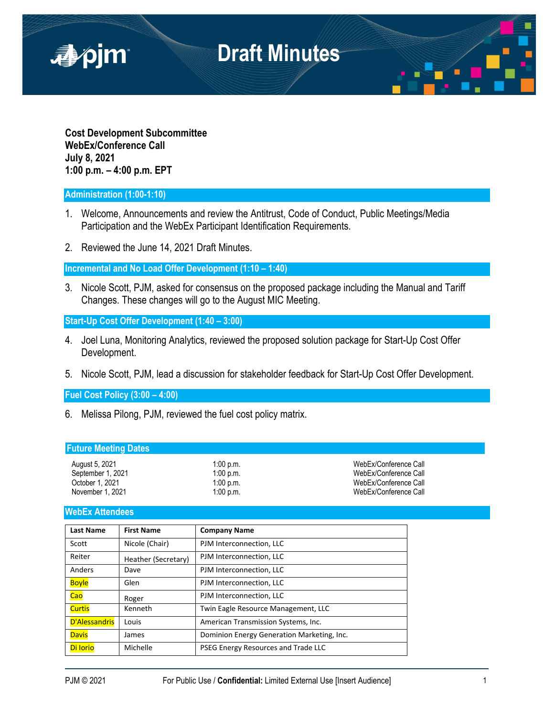

**Cost Development Subcommittee WebEx/Conference Call July 8, 2021 1:00 p.m. – 4:00 p.m. EPT**

## **Administration (1:00-1:10)**

- 1. Welcome, Announcements and review the Antitrust, Code of Conduct, Public Meetings/Media Participation and the WebEx Participant Identification Requirements.
- 2. Reviewed the June 14, 2021 Draft Minutes.

**Incremental and No Load Offer Development (1:10 – 1:40)**

3. Nicole Scott, PJM, asked for consensus on the proposed package including the Manual and Tariff Changes. These changes will go to the August MIC Meeting.

**Start-Up Cost Offer Development (1:40 – 3:00)**

- 4. Joel Luna, Monitoring Analytics, reviewed the proposed solution package for Start-Up Cost Offer Development.
- 5. Nicole Scott, PJM, lead a discussion for stakeholder feedback for Start-Up Cost Offer Development.

**Fuel Cost Policy (3:00 – 4:00)**

6. Melissa Pilong, PJM, reviewed the fuel cost policy matrix.

| <b>Future Meeting Dates</b>                                                |                                                    |                                                                                                  |
|----------------------------------------------------------------------------|----------------------------------------------------|--------------------------------------------------------------------------------------------------|
| August 5, 2021<br>September 1, 2021<br>October 1, 2021<br>November 1, 2021 | 1:00 p.m.<br>$1:00$ p.m.<br>1:00 p.m.<br>1:00 p.m. | WebEx/Conference Call<br>WebEx/Conference Call<br>WebEx/Conference Call<br>WebEx/Conference Call |
|                                                                            |                                                    |                                                                                                  |

## **WebEx Attendees**

| <b>Last Name</b> | <b>First Name</b>   | <b>Company Name</b>                        |
|------------------|---------------------|--------------------------------------------|
| Scott            | Nicole (Chair)      | PJM Interconnection, LLC                   |
| Reiter           | Heather (Secretary) | PJM Interconnection, LLC                   |
| Anders           | Dave                | PJM Interconnection, LLC                   |
| <b>Boyle</b>     | Glen                | PJM Interconnection, LLC                   |
| Cao              | Roger               | PJM Interconnection, LLC                   |
| <b>Curtis</b>    | Kenneth             | Twin Eagle Resource Management, LLC        |
| D'Alessandris    | Louis               | American Transmission Systems, Inc.        |
| <b>Davis</b>     | James               | Dominion Energy Generation Marketing, Inc. |
| Di lorio         | Michelle            | PSEG Energy Resources and Trade LLC        |